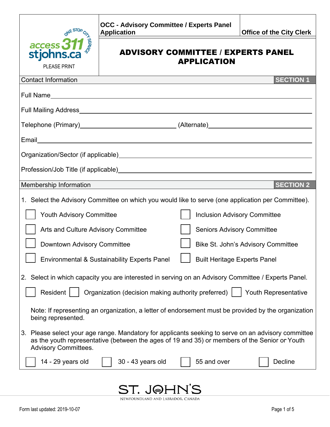|                                                                                                                                                                                                                                     | <b>OCC - Advisory Committee / Experts Panel</b><br><b>Application</b> | <b>Office of the City Clerk</b> |  |
|-------------------------------------------------------------------------------------------------------------------------------------------------------------------------------------------------------------------------------------|-----------------------------------------------------------------------|---------------------------------|--|
| $\frac{access311}{8}$<br>stjohns.ca                                                                                                                                                                                                 | <b>ADVISORY COMMITTEE / EXPERTS PANEL</b><br><b>APPLICATION</b>       |                                 |  |
| <b>PLEASE PRINT</b>                                                                                                                                                                                                                 |                                                                       |                                 |  |
| <b>Contact Information</b>                                                                                                                                                                                                          |                                                                       | <b>SECTION 1</b>                |  |
|                                                                                                                                                                                                                                     |                                                                       |                                 |  |
|                                                                                                                                                                                                                                     |                                                                       |                                 |  |
| Telephone (Primary <u>)                </u> (Alternate <u>)                   </u>                                                                                                                                                  |                                                                       |                                 |  |
|                                                                                                                                                                                                                                     |                                                                       |                                 |  |
|                                                                                                                                                                                                                                     |                                                                       |                                 |  |
|                                                                                                                                                                                                                                     |                                                                       |                                 |  |
| <b>SECTION 2</b><br>Membership Information                                                                                                                                                                                          |                                                                       |                                 |  |
|                                                                                                                                                                                                                                     |                                                                       |                                 |  |
| 1. Select the Advisory Committee on which you would like to serve (one application per Committee).                                                                                                                                  |                                                                       |                                 |  |
| <b>Youth Advisory Committee</b><br><b>Inclusion Advisory Committee</b>                                                                                                                                                              |                                                                       |                                 |  |
| Arts and Culture Advisory Committee<br><b>Seniors Advisory Committee</b>                                                                                                                                                            |                                                                       |                                 |  |
| <b>Downtown Advisory Committee</b><br><b>Bike St. John's Advisory Committee</b>                                                                                                                                                     |                                                                       |                                 |  |
| <b>Built Heritage Experts Panel</b><br><b>Environmental &amp; Sustainability Experts Panel</b>                                                                                                                                      |                                                                       |                                 |  |
| 2. Select in which capacity you are interested in serving on an Advisory Committee / Experts Panel.                                                                                                                                 |                                                                       |                                 |  |
| Resident<br>Organization (decision making authority preferred)<br><b>Youth Representative</b>                                                                                                                                       |                                                                       |                                 |  |
|                                                                                                                                                                                                                                     |                                                                       |                                 |  |
| Note: If representing an organization, a letter of endorsement must be provided by the organization<br>being represented.                                                                                                           |                                                                       |                                 |  |
| 3. Please select your age range. Mandatory for applicants seeking to serve on an advisory committee<br>as the youth representative (between the ages of 19 and 35) or members of the Senior or Youth<br><b>Advisory Committees.</b> |                                                                       |                                 |  |
| 14 - 29 years old                                                                                                                                                                                                                   | 30 - 43 years old<br>55 and over                                      | <b>Decline</b>                  |  |
|                                                                                                                                                                                                                                     |                                                                       |                                 |  |

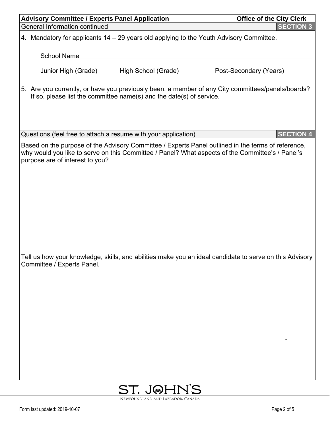| <b>Advisory Committee / Experts Panel Application</b>                                                                                                                                                                                     | <b>Office of the City Clerk</b> |
|-------------------------------------------------------------------------------------------------------------------------------------------------------------------------------------------------------------------------------------------|---------------------------------|
| <b>General Information continued</b>                                                                                                                                                                                                      | <b>SECTION 3</b>                |
| 4. Mandatory for applicants 14 – 29 years old applying to the Youth Advisory Committee.                                                                                                                                                   |                                 |
|                                                                                                                                                                                                                                           |                                 |
| Junior High (Grade)______ High School (Grade)__________Post-Secondary (Years)________                                                                                                                                                     |                                 |
| 5. Are you currently, or have you previously been, a member of any City committees/panels/boards?<br>If so, please list the committee name(s) and the date(s) of service.                                                                 |                                 |
| Questions (feel free to attach a resume with your application)                                                                                                                                                                            | <b>SECTION 4</b>                |
| Based on the purpose of the Advisory Committee / Experts Panel outlined in the terms of reference,<br>why would you like to serve on this Committee / Panel? What aspects of the Committee's / Panel's<br>purpose are of interest to you? |                                 |
| Tell us how your knowledge, skills, and abilities make you an ideal candidate to serve on this Advisory<br>Committee / Experts Panel.                                                                                                     |                                 |
| ST. JOHN'S                                                                                                                                                                                                                                |                                 |

NEWFOUNDLAND AND LABRADOR, CANADA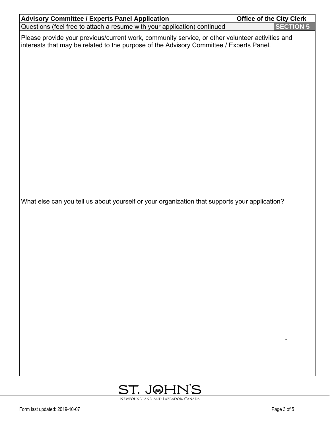| <b>Advisory Committee / Experts Panel Application</b>                                                                                                                                      | <b>Office of the City Clerk</b> |
|--------------------------------------------------------------------------------------------------------------------------------------------------------------------------------------------|---------------------------------|
| Questions (feel free to attach a resume with your application) continued                                                                                                                   | <b>SECTION 5</b>                |
| Please provide your previous/current work, community service, or other volunteer activities and<br>interests that may be related to the purpose of the Advisory Committee / Experts Panel. |                                 |
| What else can you tell us about yourself or your organization that supports your application?                                                                                              |                                 |
|                                                                                                                                                                                            |                                 |

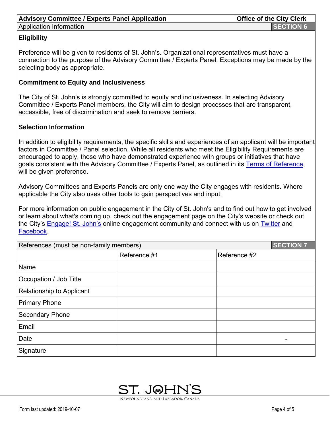# Advisory Committee / Experts Panel Application **Access 19 and Service 20 and Service** 10 and 10 and 10 and 10 and 10 and 10 and 10 and 10 and 10 and 10 and 10 and 10 and 10 and 10 and 10 and 10 and 10 and 10 and 10 and 10

## **Eligibility**

Preference will be given to residents of St. John's. Organizational representatives must have a connection to the purpose of the Advisory Committee / Experts Panel. Exceptions may be made by the selecting body as appropriate.

### **Commitment to Equity and Inclusiveness**

The City of St. John's is strongly committed to equity and inclusiveness. In selecting Advisory Committee / Experts Panel members, the City will aim to design processes that are transparent, accessible, free of discrimination and seek to remove barriers.

### **Selection Information**

In addition to eligibility requirements, the specific skills and experiences of an applicant will be important factors in Committee / Panel selection. While all residents who meet the Eligibility Requirements are encouraged to apply, those who have demonstrated experience with groups or initiatives that have goals consistent with the Advisory Committee / Experts Panel, as outlined in its [Terms of Reference,](http://stjohns.ca/forms/terms-reference-advisory-committees-working-groups-and-experts-panels) will be given preference.

Advisory Committees and Experts Panels are only one way the City engages with residents. Where applicable the City also uses other tools to gain perspectives and input.

For more information on public engagement in the City of St. John's and to find out how to get involved or learn about what's coming up, check out the engagement page on the City's website or check out the City's [Engage! St. John's](http://engagestjohns.ca/engage) online engagement community and connect with us on [Twitter](http://www.twitter.com/cityofstjohns) and [Facebook.](http://www.facebook.com/cityofstjohns)

| <b>SECTION 7</b><br>References (must be non-family members) |              |              |
|-------------------------------------------------------------|--------------|--------------|
|                                                             | Reference #1 | Reference #2 |
| Name                                                        |              |              |
| Occupation / Job Title                                      |              |              |
| Relationship to Applicant                                   |              |              |
| <b>Primary Phone</b>                                        |              |              |
| <b>Secondary Phone</b>                                      |              |              |
| Email                                                       |              |              |
| Date                                                        |              |              |
| Signature                                                   |              |              |